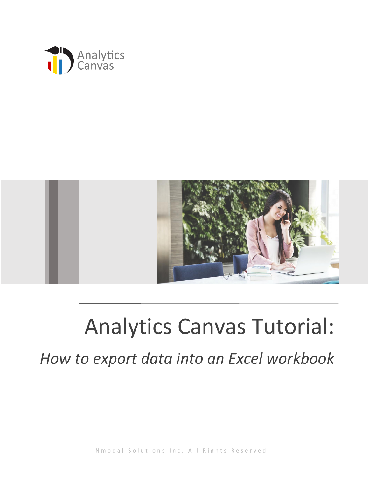



## Analytics Canvas Tutorial:

*How to export data into an Excel workbook*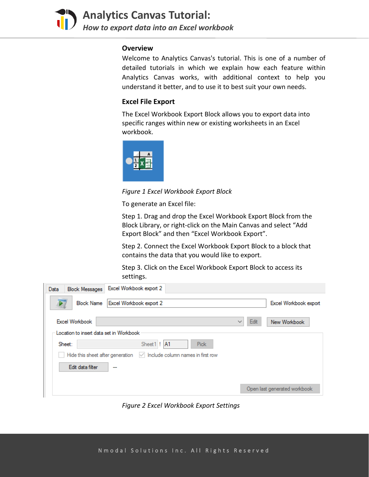

**Analytics Canvas Tutorial:**  *How to export data into an Excel workbook*

## **Overview**

Welcome to Analytics Canvas's tutorial. This is one of a number of detailed tutorials in which we explain how each feature within Analytics Canvas works, with additional context to help you understand it better, and to use it to best suit your own needs.

## **Excel File Export**

The Excel Workbook Export Block allows you to export data into specific ranges within new or existing worksheets in an Excel workbook.



*Figure 1 Excel Workbook Export Block*

To generate an Excel file:

Step 1. Drag and drop the Excel Workbook Export Block from the Block Library, or right-click on the Main Canvas and select "Add Export Block" and then "Excel Workbook Export".

Step 2. Connect the Excel Workbook Export Block to a block that contains the data that you would like to export.

Step 3. Click on the Excel Workbook Export Block to access its settings.

| Excel Workbook export 2<br><b>Block Messages</b><br>Data                     |                      |                              |
|------------------------------------------------------------------------------|----------------------|------------------------------|
| Excel Workbook export 2<br><b>Block Name</b>                                 |                      | Excel Workbook export        |
| <b>Excel Workbook</b>                                                        | Edit<br>$\checkmark$ | New Workbook                 |
| Location to insert data set in Workbook                                      |                      |                              |
| Sheet 1! A1<br>Pick<br>Sheet:                                                |                      |                              |
| $\vee$ Include column names in first row<br>Hide this sheet after generation |                      |                              |
| Edit data filter<br>---                                                      |                      |                              |
|                                                                              |                      | Open last generated workbook |

*Figure 2 Excel Workbook Export Settings*